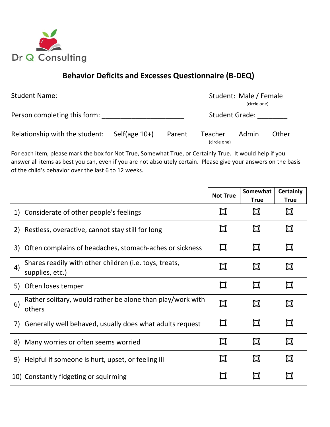

## **Behavior Deficits and Excesses Questionnaire (B-DEQ)**

| <b>Student Name:</b>           |                  | Student: Male / Female<br>(circle one) |                         |       |       |
|--------------------------------|------------------|----------------------------------------|-------------------------|-------|-------|
| Person completing this form:   |                  | <b>Student Grade:</b>                  |                         |       |       |
| Relationship with the student: | Self(age $10+$ ) | Parent                                 | Teacher<br>(circle one) | Admin | Other |

For each item, please mark the box for Not True, Somewhat True, or Certainly True. It would help if you answer all items as best you can, even if you are not absolutely certain. Please give your answers on the basis of the child's behavior over the last 6 to 12 weeks.

|              |                                                                           | <b>Not True</b> | Somewhat<br><b>True</b> | <b>Certainly</b><br><b>True</b> |
|--------------|---------------------------------------------------------------------------|-----------------|-------------------------|---------------------------------|
|              | 1) Considerate of other people's feelings                                 |                 |                         |                                 |
|              | 2) Restless, overactive, cannot stay still for long                       |                 |                         | Π                               |
|              | 3) Often complains of headaches, stomach-aches or sickness                |                 |                         |                                 |
| 4)           | Shares readily with other children (i.e. toys, treats,<br>supplies, etc.) | Π               |                         | Π                               |
|              | 5) Often loses temper                                                     | П               |                         | П                               |
| 6)<br>others | Rather solitary, would rather be alone than play/work with                | $\bm{\Pi}$      |                         | Π                               |
| 7)           | Generally well behaved, usually does what adults request                  | П               |                         | П                               |
| 8)           | Many worries or often seems worried                                       |                 |                         |                                 |
|              | 9) Helpful if someone is hurt, upset, or feeling ill                      |                 |                         |                                 |
|              | 10) Constantly fidgeting or squirming                                     |                 |                         |                                 |